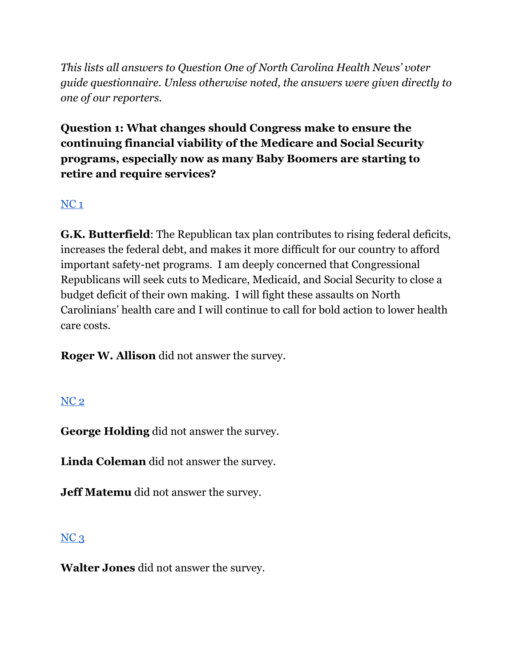*This lists all answers to Question One of North Carolina Health News' voter guide questionnaire. Unless otherwise noted, the answers were given directly to one of our reporters.*

**Question 1: What changes should Congress make to ensure the continuing financial viability of the Medicare and Social Security programs, especially now as many Baby Boomers are starting to retire and require services?**

### [NC](https://docs.google.com/document/d/1QKoGh33FjmS89YNY1wDfJ6fB9ikH0fC117WjizExMhc/edit?usp=sharing) 1

**G.K. Butterfield**: The Republican tax plan contributes to rising federal deficits, increases the federal debt, and makes it more difficult for our country to afford important safety-net programs. I am deeply concerned that Congressional Republicans will seek cuts to Medicare, Medicaid, and Social Security to close a budget deficit of their own making. I will fight these assaults on North Carolinians' health care and I will continue to call for bold action to lower health care costs.

**Roger W. Allison** did not answer the survey.

#### [NC](https://docs.google.com/document/d/1QKoGh33FjmS89YNY1wDfJ6fB9ikH0fC117WjizExMhc/edit?usp=sharing) 2

**George Holding** did not answer the survey.

**Linda Coleman** did not answer the survey.

**Jeff Matemu** did not answer the survey.

#### $NC<sub>3</sub>$  $NC<sub>3</sub>$

**Walter Jones** did not answer the survey.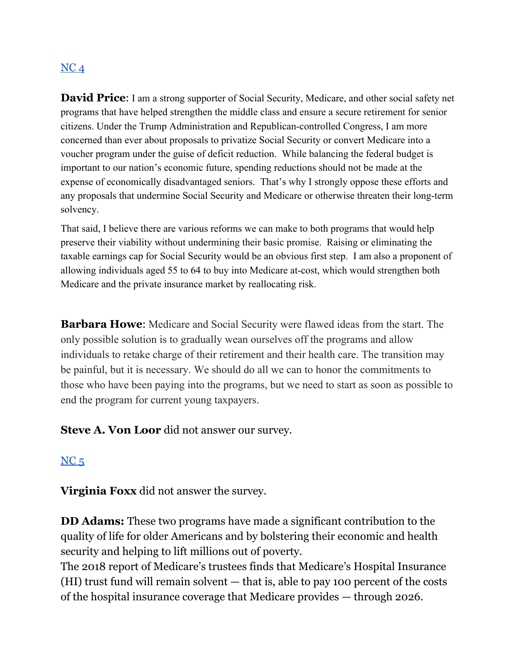# $NC<sub>4</sub>$  $NC<sub>4</sub>$

**David Price:** I am a strong supporter of Social Security, Medicare, and other social safety net programs that have helped strengthen the middle class and ensure a secure retirement for senior citizens. Under the Trump Administration and Republican-controlled Congress, I am more concerned than ever about proposals to privatize Social Security or convert Medicare into a voucher program under the guise of deficit reduction. While balancing the federal budget is important to our nation's economic future, spending reductions should not be made at the expense of economically disadvantaged seniors. That's why I strongly oppose these efforts and any proposals that undermine Social Security and Medicare or otherwise threaten their long-term solvency.

That said, I believe there are various reforms we can make to both programs that would help preserve their viability without undermining their basic promise. Raising or eliminating the taxable earnings cap for Social Security would be an obvious first step. I am also a proponent of allowing individuals aged 55 to 64 to buy into Medicare at-cost, which would strengthen both Medicare and the private insurance market by reallocating risk.

**Barbara Howe**: Medicare and Social Security were flawed ideas from the start. The only possible solution is to gradually wean ourselves off the programs and allow individuals to retake charge of their retirement and their health care. The transition may be painful, but it is necessary. We should do all we can to honor the commitments to those who have been paying into the programs, but we need to start as soon as possible to end the program for current young taxpayers.

**Steve A. Von Loor** did not answer our survey.

#### $NC<sub>5</sub>$  $NC<sub>5</sub>$

**Virginia Foxx** did not answer the survey.

**DD Adams:** These two programs have made a significant contribution to the quality of life for older Americans and by bolstering their economic and health security and helping to lift millions out of poverty.

The 2018 report of Medicare's trustees finds that Medicare's Hospital Insurance (HI) trust fund will remain solvent — that is, able to pay 100 percent of the costs of the hospital insurance coverage that Medicare provides — through 2026.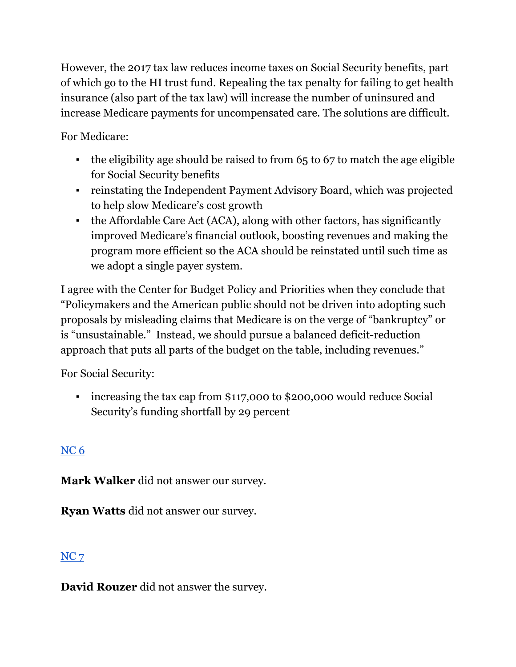However, the 2017 tax law reduces income taxes on Social Security benefits, part of which go to the HI trust fund. Repealing the tax penalty for failing to get health insurance (also part of the tax law) will increase the number of uninsured and increase Medicare payments for uncompensated care. The solutions are difficult.

For Medicare:

- $\cdot$  the eligibility age should be raised to from 65 to 67 to match the age eligible for Social Security benefits
- reinstating the Independent Payment Advisory Board, which was projected to help slow Medicare's cost growth
- the Affordable Care Act (ACA), along with other factors, has significantly improved Medicare's financial outlook, boosting revenues and making the program more efficient so the ACA should be reinstated until such time as we adopt a single payer system.

I agree with the Center for Budget Policy and Priorities when they conclude that "Policymakers and the American public should not be driven into adopting such proposals by misleading claims that Medicare is on the verge of "bankruptcy" or is "unsustainable." Instead, we should pursue a balanced deficit-reduction approach that puts all parts of the budget on the table, including revenues."

For Social Security:

If increasing the tax cap from \$117,000 to \$200,000 would reduce Social Security's funding shortfall by 29 percent

# [NC](https://docs.google.com/document/d/1cAsotr6xS9I-V4NP1ueB3T1dzRsHO07YN2hMv9b4xU0/edit?usp=sharing) 6

**Mark Walker** did not answer our survey.

**Ryan Watts** did not answer our survey.

# [NC](https://docs.google.com/document/d/1QKoGh33FjmS89YNY1wDfJ6fB9ikH0fC117WjizExMhc/edit?usp=sharing) 7

**David Rouzer** did not answer the survey.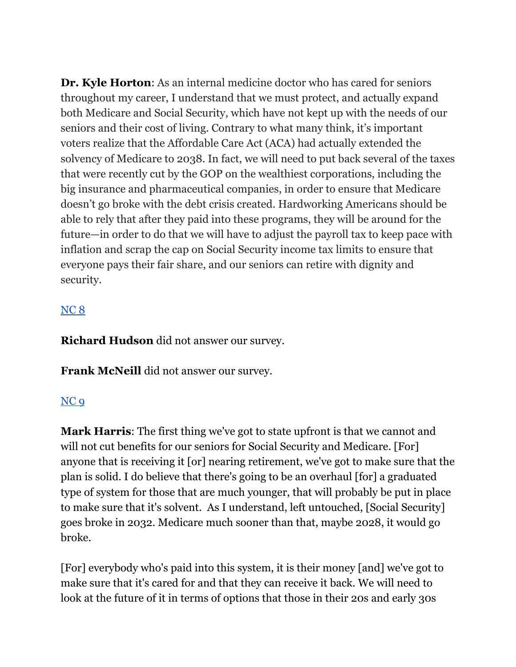**Dr. Kyle Horton**: As an internal medicine doctor who has cared for seniors throughout my career, I understand that we must protect, and actually expand both Medicare and Social Security, which have not kept up with the needs of our seniors and their cost of living. Contrary to what many think, it's important voters realize that the Affordable Care Act (ACA) had actually extended the solvency of Medicare to 2038. In fact, we will need to put back several of the taxes that were recently cut by the GOP on the wealthiest corporations, including the big insurance and pharmaceutical companies, in order to ensure that Medicare doesn't go broke with the debt crisis created. Hardworking Americans should be able to rely that after they paid into these programs, they will be around for the future—in order to do that we will have to adjust the payroll tax to keep pace with inflation and scrap the cap on Social Security income tax limits to ensure that everyone pays their fair share, and our seniors can retire with dignity and security.

#### [NC](https://docs.google.com/document/d/1cAsotr6xS9I-V4NP1ueB3T1dzRsHO07YN2hMv9b4xU0/edit?usp=sharing) 8

**Richard Hudson** did not answer our survey.

**Frank McNeill** did not answer our survey.

# [NC](https://docs.google.com/document/d/1cAsotr6xS9I-V4NP1ueB3T1dzRsHO07YN2hMv9b4xU0/edit?usp=sharing) 9

**Mark Harris**: The first thing we've got to state upfront is that we cannot and will not cut benefits for our seniors for Social Security and Medicare. [For] anyone that is receiving it [or] nearing retirement, we've got to make sure that the plan is solid. I do believe that there's going to be an overhaul [for] a graduated type of system for those that are much younger, that will probably be put in place to make sure that it's solvent. As I understand, left untouched, [Social Security] goes broke in 2032. Medicare much sooner than that, maybe 2028, it would go broke.

[For] everybody who's paid into this system, it is their money [and] we've got to make sure that it's cared for and that they can receive it back. We will need to look at the future of it in terms of options that those in their 20s and early 30s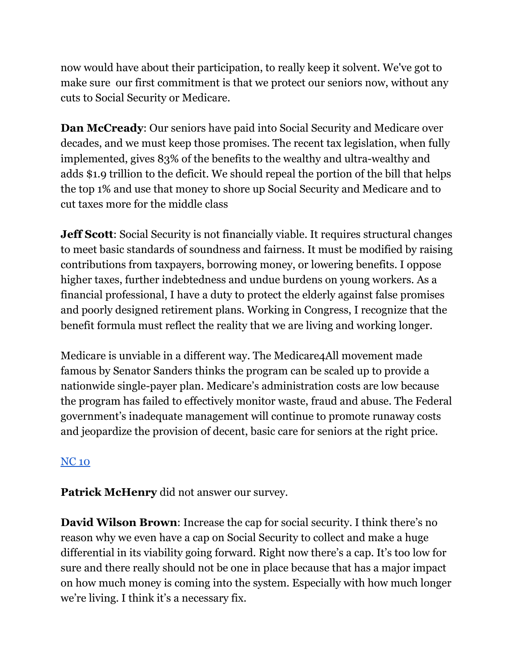now would have about their participation, to really keep it solvent. We've got to make sure our first commitment is that we protect our seniors now, without any cuts to Social Security or Medicare.

**Dan McCready**: Our seniors have paid into Social Security and Medicare over decades, and we must keep those promises. The recent tax legislation, when fully implemented, gives 83% of the benefits to the wealthy and ultra-wealthy and adds \$1.9 trillion to the deficit. We should repeal the portion of the bill that helps the top 1% and use that money to shore up Social Security and Medicare and to cut taxes more for the middle class

**Jeff Scott**: Social Security is not financially viable. It requires structural changes to meet basic standards of soundness and fairness. It must be modified by raising contributions from taxpayers, borrowing money, or lowering benefits. I oppose higher taxes, further indebtedness and undue burdens on young workers. As a financial professional, I have a duty to protect the elderly against false promises and poorly designed retirement plans. Working in Congress, I recognize that the benefit formula must reflect the reality that we are living and working longer.

Medicare is unviable in a different way. The Medicare4All movement made famous by Senator Sanders thinks the program can be scaled up to provide a nationwide single-payer plan. Medicare's administration costs are low because the program has failed to effectively monitor waste, fraud and abuse. The Federal government's inadequate management will continue to promote runaway costs and jeopardize the provision of decent, basic care for seniors at the right price.

# [NC](https://docs.google.com/document/d/1EwcDTcuh6JGaw8mrxqMd1mif60VC1AoJttBCXQFIKtA/edit?usp=sharing) 10

**Patrick McHenry** did not answer our survey.

**David Wilson Brown**: Increase the cap for social security. I think there's no reason why we even have a cap on Social Security to collect and make a huge differential in its viability going forward. Right now there's a cap. It's too low for sure and there really should not be one in place because that has a major impact on how much money is coming into the system. Especially with how much longer we're living. I think it's a necessary fix.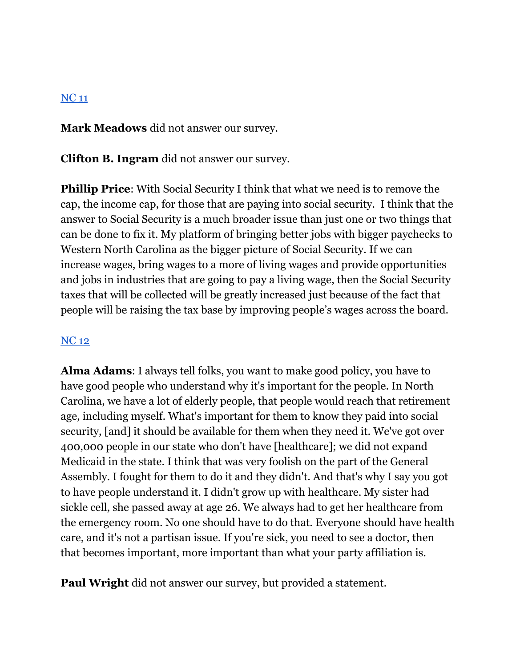#### [NC](https://docs.google.com/document/d/1EwcDTcuh6JGaw8mrxqMd1mif60VC1AoJttBCXQFIKtA/edit?usp=sharing) 11

**Mark Meadows** did not answer our survey.

**Clifton B. Ingram** did not answer our survey.

**Phillip Price**: With Social Security I think that what we need is to remove the cap, the income cap, for those that are paying into social security. I think that the answer to Social Security is a much broader issue than just one or two things that can be done to fix it. My platform of bringing better jobs with bigger paychecks to Western North Carolina as the bigger picture of Social Security. If we can increase wages, bring wages to a more of living wages and provide opportunities and jobs in industries that are going to pay a living wage, then the Social Security taxes that will be collected will be greatly increased just because of the fact that people will be raising the tax base by improving people's wages across the board.

#### [NC](https://docs.google.com/document/d/1EwcDTcuh6JGaw8mrxqMd1mif60VC1AoJttBCXQFIKtA/edit?usp=sharing) 12

**Alma Adams**: I always tell folks, you want to make good policy, you have to have good people who understand why it's important for the people. In North Carolina, we have a lot of elderly people, that people would reach that retirement age, including myself. What's important for them to know they paid into social security, [and] it should be available for them when they need it. We've got over 400,000 people in our state who don't have [healthcare]; we did not expand Medicaid in the state. I think that was very foolish on the part of the General Assembly. I fought for them to do it and they didn't. And that's why I say you got to have people understand it. I didn't grow up with healthcare. My sister had sickle cell, she passed away at age 26. We always had to get her healthcare from the emergency room. No one should have to do that. Everyone should have health care, and it's not a partisan issue. If you're sick, you need to see a doctor, then that becomes important, more important than what your party affiliation is.

**Paul Wright** did not answer our survey, but provided a statement.